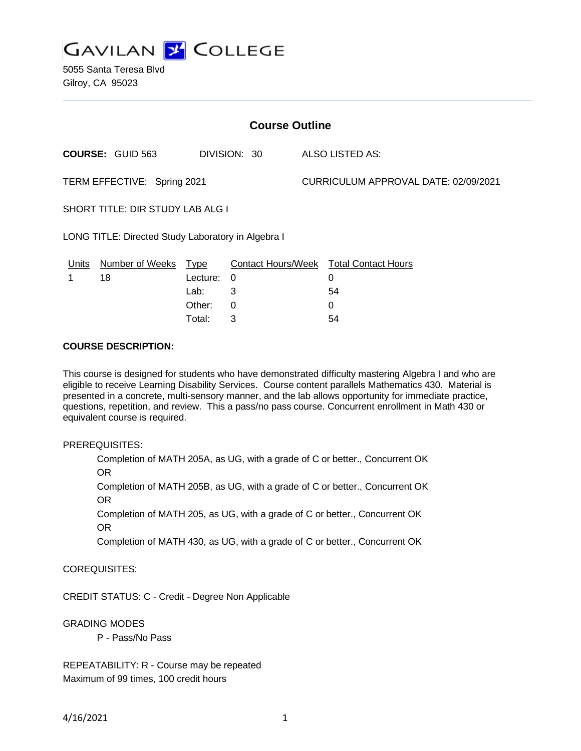

5055 Santa Teresa Blvd Gilroy, CA 95023

| <b>Course Outline</b>                              |                         |             |              |                                      |                                        |
|----------------------------------------------------|-------------------------|-------------|--------------|--------------------------------------|----------------------------------------|
|                                                    | <b>COURSE: GUID 563</b> |             | DIVISION: 30 |                                      | <b>ALSO LISTED AS:</b>                 |
| TERM EFFECTIVE: Spring 2021                        |                         |             |              | CURRICULUM APPROVAL DATE: 02/09/2021 |                                        |
| SHORT TITLE: DIR STUDY LAB ALG I                   |                         |             |              |                                      |                                        |
| LONG TITLE: Directed Study Laboratory in Algebra I |                         |             |              |                                      |                                        |
| Units                                              | <b>Number of Weeks</b>  | <u>Type</u> |              |                                      | Contact Hours/Week Total Contact Hours |
|                                                    | 18                      | Lecture:    | 0            |                                      | $\Omega$                               |
|                                                    |                         | Lab:        | 3            |                                      | 54                                     |
|                                                    |                         | Other:      | 0            |                                      | $\Omega$                               |
|                                                    |                         | Total:      | 3            |                                      | 54                                     |

#### **COURSE DESCRIPTION:**

This course is designed for students who have demonstrated difficulty mastering Algebra I and who are eligible to receive Learning Disability Services. Course content parallels Mathematics 430. Material is presented in a concrete, multi-sensory manner, and the lab allows opportunity for immediate practice, questions, repetition, and review. This a pass/no pass course. Concurrent enrollment in Math 430 or equivalent course is required.

#### PREREQUISITES:

Completion of MATH 205A, as UG, with a grade of C or better., Concurrent OK OR

Completion of MATH 205B, as UG, with a grade of C or better., Concurrent OK OR

Completion of MATH 205, as UG, with a grade of C or better., Concurrent OK OR

Completion of MATH 430, as UG, with a grade of C or better., Concurrent OK

### COREQUISITES:

CREDIT STATUS: C - Credit - Degree Non Applicable

#### GRADING MODES

P - Pass/No Pass

REPEATABILITY: R - Course may be repeated Maximum of 99 times, 100 credit hours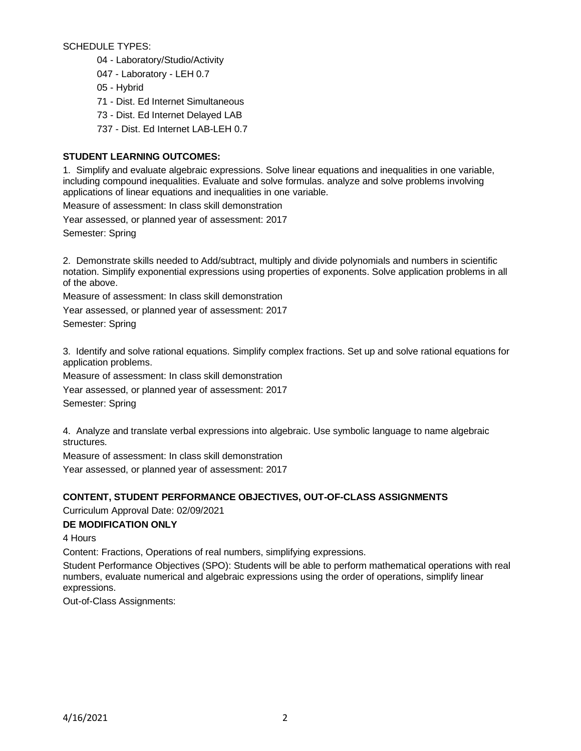SCHEDULE TYPES:

- 04 Laboratory/Studio/Activity
- 047 Laboratory LEH 0.7
- 05 Hybrid
- 71 Dist. Ed Internet Simultaneous
- 73 Dist. Ed Internet Delayed LAB
- 737 Dist. Ed Internet LAB-LEH 0.7

## **STUDENT LEARNING OUTCOMES:**

1. Simplify and evaluate algebraic expressions. Solve linear equations and inequalities in one variable, including compound inequalities. Evaluate and solve formulas. analyze and solve problems involving applications of linear equations and inequalities in one variable.

Measure of assessment: In class skill demonstration

Year assessed, or planned year of assessment: 2017

Semester: Spring

2. Demonstrate skills needed to Add/subtract, multiply and divide polynomials and numbers in scientific notation. Simplify exponential expressions using properties of exponents. Solve application problems in all of the above.

Measure of assessment: In class skill demonstration

Year assessed, or planned year of assessment: 2017

Semester: Spring

3. Identify and solve rational equations. Simplify complex fractions. Set up and solve rational equations for application problems.

Measure of assessment: In class skill demonstration Year assessed, or planned year of assessment: 2017 Semester: Spring

4. Analyze and translate verbal expressions into algebraic. Use symbolic language to name algebraic structures.

Measure of assessment: In class skill demonstration

Year assessed, or planned year of assessment: 2017

### **CONTENT, STUDENT PERFORMANCE OBJECTIVES, OUT-OF-CLASS ASSIGNMENTS**

Curriculum Approval Date: 02/09/2021

### **DE MODIFICATION ONLY**

4 Hours

Content: Fractions, Operations of real numbers, simplifying expressions.

Student Performance Objectives (SPO): Students will be able to perform mathematical operations with real numbers, evaluate numerical and algebraic expressions using the order of operations, simplify linear expressions.

Out-of-Class Assignments: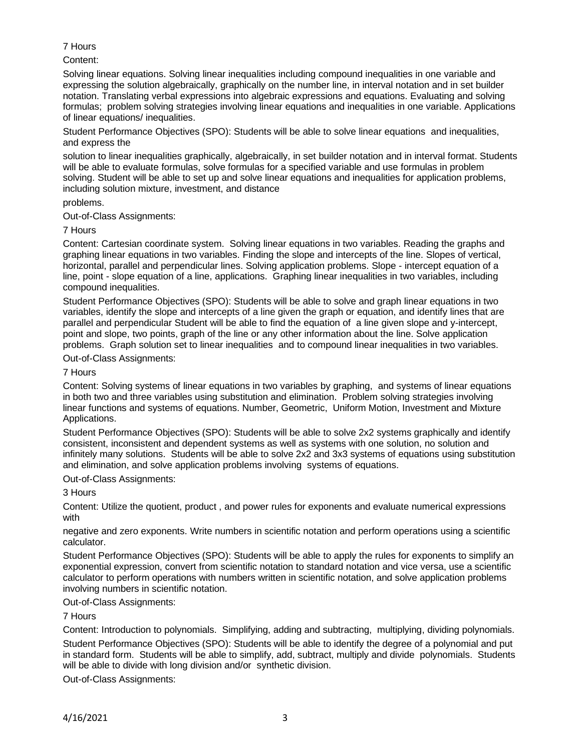# 7 Hours

## Content:

Solving linear equations. Solving linear inequalities including compound inequalities in one variable and expressing the solution algebraically, graphically on the number line, in interval notation and in set builder notation. Translating verbal expressions into algebraic expressions and equations. Evaluating and solving formulas; problem solving strategies involving linear equations and inequalities in one variable. Applications of linear equations/ inequalities.

Student Performance Objectives (SPO): Students will be able to solve linear equations and inequalities, and express the

solution to linear inequalities graphically, algebraically, in set builder notation and in interval format. Students will be able to evaluate formulas, solve formulas for a specified variable and use formulas in problem solving. Student will be able to set up and solve linear equations and inequalities for application problems, including solution mixture, investment, and distance

### problems.

Out-of-Class Assignments:

### 7 Hours

Content: Cartesian coordinate system. Solving linear equations in two variables. Reading the graphs and graphing linear equations in two variables. Finding the slope and intercepts of the line. Slopes of vertical, horizontal, parallel and perpendicular lines. Solving application problems. Slope - intercept equation of a line, point - slope equation of a line, applications. Graphing linear inequalities in two variables, including compound inequalities.

Student Performance Objectives (SPO): Students will be able to solve and graph linear equations in two variables, identify the slope and intercepts of a line given the graph or equation, and identify lines that are parallel and perpendicular Student will be able to find the equation of a line given slope and y-intercept, point and slope, two points, graph of the line or any other information about the line. Solve application problems. Graph solution set to linear inequalities and to compound linear inequalities in two variables.

Out-of-Class Assignments:

7 Hours

Content: Solving systems of linear equations in two variables by graphing, and systems of linear equations in both two and three variables using substitution and elimination. Problem solving strategies involving linear functions and systems of equations. Number, Geometric, Uniform Motion, Investment and Mixture Applications.

Student Performance Objectives (SPO): Students will be able to solve 2x2 systems graphically and identify consistent, inconsistent and dependent systems as well as systems with one solution, no solution and infinitely many solutions. Students will be able to solve 2x2 and 3x3 systems of equations using substitution and elimination, and solve application problems involving systems of equations.

Out-of-Class Assignments:

3 Hours

Content: Utilize the quotient, product , and power rules for exponents and evaluate numerical expressions with

negative and zero exponents. Write numbers in scientific notation and perform operations using a scientific calculator.

Student Performance Objectives (SPO): Students will be able to apply the rules for exponents to simplify an exponential expression, convert from scientific notation to standard notation and vice versa, use a scientific calculator to perform operations with numbers written in scientific notation, and solve application problems involving numbers in scientific notation.

### Out-of-Class Assignments:

### 7 Hours

Content: Introduction to polynomials. Simplifying, adding and subtracting, multiplying, dividing polynomials.

Student Performance Objectives (SPO): Students will be able to identify the degree of a polynomial and put in standard form. Students will be able to simplify, add, subtract, multiply and divide polynomials. Students will be able to divide with long division and/or synthetic division.

Out-of-Class Assignments: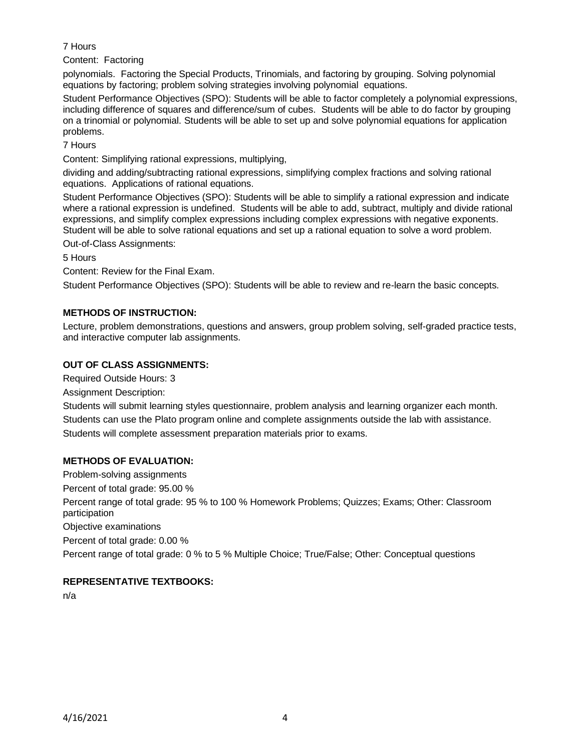## 7 Hours

Content: Factoring

polynomials. Factoring the Special Products, Trinomials, and factoring by grouping. Solving polynomial equations by factoring; problem solving strategies involving polynomial equations.

Student Performance Objectives (SPO): Students will be able to factor completely a polynomial expressions, including difference of squares and difference/sum of cubes. Students will be able to do factor by grouping on a trinomial or polynomial. Students will be able to set up and solve polynomial equations for application problems.

7 Hours

Content: Simplifying rational expressions, multiplying,

dividing and adding/subtracting rational expressions, simplifying complex fractions and solving rational equations. Applications of rational equations.

Student Performance Objectives (SPO): Students will be able to simplify a rational expression and indicate where a rational expression is undefined. Students will be able to add, subtract, multiply and divide rational expressions, and simplify complex expressions including complex expressions with negative exponents. Student will be able to solve rational equations and set up a rational equation to solve a word problem.

Out-of-Class Assignments:

5 Hours

Content: Review for the Final Exam.

Student Performance Objectives (SPO): Students will be able to review and re-learn the basic concepts.

# **METHODS OF INSTRUCTION:**

Lecture, problem demonstrations, questions and answers, group problem solving, self-graded practice tests, and interactive computer lab assignments.

# **OUT OF CLASS ASSIGNMENTS:**

Required Outside Hours: 3

Assignment Description:

Students will submit learning styles questionnaire, problem analysis and learning organizer each month. Students can use the Plato program online and complete assignments outside the lab with assistance. Students will complete assessment preparation materials prior to exams.

# **METHODS OF EVALUATION:**

Problem-solving assignments Percent of total grade: 95.00 % Percent range of total grade: 95 % to 100 % Homework Problems; Quizzes; Exams; Other: Classroom participation Objective examinations

Percent of total grade: 0.00 % Percent range of total grade: 0 % to 5 % Multiple Choice; True/False; Other: Conceptual questions

# **REPRESENTATIVE TEXTBOOKS:**

n/a